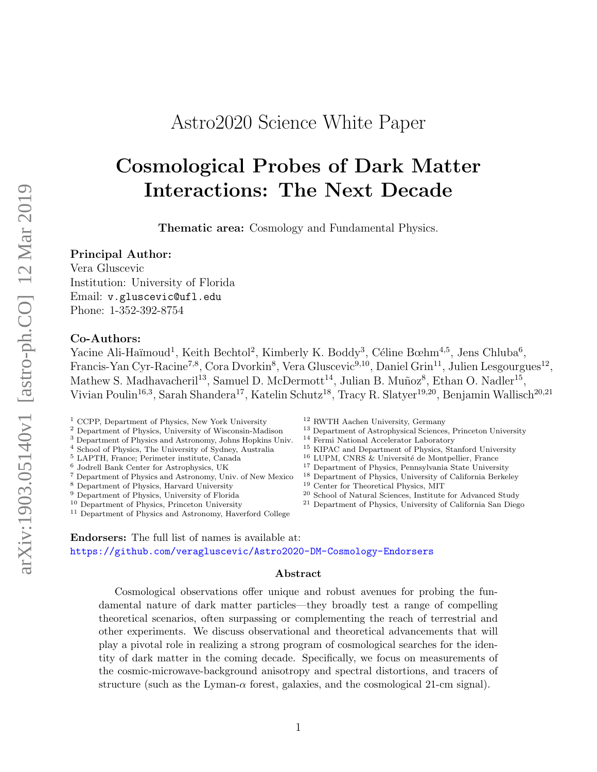# Astro2020 Science White Paper

# Cosmological Probes of Dark Matter Interactions: The Next Decade

Thematic area: Cosmology and Fundamental Physics.

#### Principal Author:

Vera Gluscevic Institution: University of Florida Email: v.gluscevic@ufl.edu Phone: 1-352-392-8754

#### Co-Authors:

Yacine Ali-Haïmoud<sup>1</sup>, Keith Bechtol<sup>2</sup>, Kimberly K. Boddy<sup>3</sup>, Céline Bœhm<sup>4,5</sup>, Jens Chluba<sup>6</sup>, Francis-Yan Cyr-Racine<sup>7,8</sup>, Cora Dvorkin<sup>8</sup>, Vera Gluscevic<sup>9,10</sup>, Daniel Grin<sup>11</sup>, Julien Lesgourgues<sup>12</sup>, Mathew S. Madhavacheril<sup>13</sup>, Samuel D. McDermott<sup>14</sup>, Julian B. Muñoz<sup>8</sup>, Ethan O. Nadler<sup>15</sup>, Vivian Poulin<sup>16,3</sup>, Sarah Shandera<sup>17</sup>, Katelin Schutz<sup>18</sup>, Tracy R. Slatyer<sup>19,20</sup>, Benjamin Wallisch<sup>20,21</sup>

<sup>1</sup> CCPP, Department of Physics, New York University

- <sup>2</sup> Department of Physics, University of Wisconsin-Madison
- <sup>3</sup> Department of Physics and Astronomy, Johns Hopkins Univ.
- <sup>4</sup> School of Physics, The University of Sydney, Australia
- <sup>5</sup> LAPTH, France; Perimeter institute, Canada

<sup>6</sup> Jodrell Bank Center for Astrophysics, UK

- <sup>7</sup> Department of Physics and Astronomy, Univ. of New Mexico
- <sup>8</sup> Department of Physics, Harvard University
- <sup>9</sup> Department of Physics, University of Florida
- <sup>10</sup> Department of Physics, Princeton University

<sup>11</sup> Department of Physics and Astronomy, Haverford College

- <sup>12</sup> RWTH Aachen University, Germany
- <sup>13</sup> Department of Astrophysical Sciences, Princeton University
- <sup>14</sup> Fermi National Accelerator Laboratory
- <sup>15</sup> KIPAC and Department of Physics, Stanford University
- $16$  LUPM, CNRS & Université de Montpellier, France
- <sup>17</sup> Department of Physics, Pennsylvania State University
- <sup>18</sup> Department of Physics, University of California Berkeley
- <sup>19</sup> Center for Theoretical Physics, MIT
- <sup>20</sup> School of Natural Sciences, Institute for Advanced Study
- <sup>21</sup> Department of Physics, University of California San Diego

Endorsers: The full list of names is available at: <https://github.com/veragluscevic/Astro2020-DM-Cosmology-Endorsers>

#### Abstract

Cosmological observations offer unique and robust avenues for probing the fundamental nature of dark matter particles—they broadly test a range of compelling theoretical scenarios, often surpassing or complementing the reach of terrestrial and other experiments. We discuss observational and theoretical advancements that will play a pivotal role in realizing a strong program of cosmological searches for the identity of dark matter in the coming decade. Specifically, we focus on measurements of the cosmic-microwave-background anisotropy and spectral distortions, and tracers of structure (such as the Lyman- $\alpha$  forest, galaxies, and the cosmological 21-cm signal).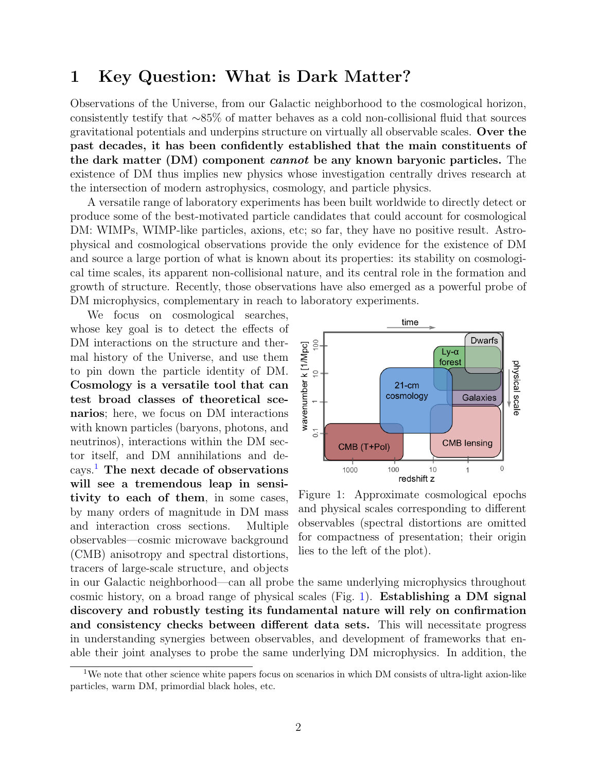## 1 Key Question: What is Dark Matter?

Observations of the Universe, from our Galactic neighborhood to the cosmological horizon, consistently testify that ∼85% of matter behaves as a cold non-collisional fluid that sources gravitational potentials and underpins structure on virtually all observable scales. Over the past decades, it has been confidently established that the main constituents of the dark matter (DM) component cannot be any known baryonic particles. The existence of DM thus implies new physics whose investigation centrally drives research at the intersection of modern astrophysics, cosmology, and particle physics.

A versatile range of laboratory experiments has been built worldwide to directly detect or produce some of the best-motivated particle candidates that could account for cosmological DM: WIMPs, WIMP-like particles, axions, etc; so far, they have no positive result. Astrophysical and cosmological observations provide the only evidence for the existence of DM and source a large portion of what is known about its properties: its stability on cosmological time scales, its apparent non-collisional nature, and its central role in the formation and growth of structure. Recently, those observations have also emerged as a powerful probe of DM microphysics, complementary in reach to laboratory experiments.

We focus on cosmological searches, whose key goal is to detect the effects of DM interactions on the structure and thermal history of the Universe, and use them to pin down the particle identity of DM. Cosmology is a versatile tool that can test broad classes of theoretical scenarios; here, we focus on DM interactions with known particles (baryons, photons, and neutrinos), interactions within the DM sector itself, and DM annihilations and decays.[1](#page-1-0) The next decade of observations will see a tremendous leap in sensitivity to each of them, in some cases, by many orders of magnitude in DM mass and interaction cross sections. Multiple observables—cosmic microwave background (CMB) anisotropy and spectral distortions, tracers of large-scale structure, and objects



<span id="page-1-1"></span>Figure 1: Approximate cosmological epochs and physical scales corresponding to different observables (spectral distortions are omitted for compactness of presentation; their origin lies to the left of the plot).

in our Galactic neighborhood—can all probe the same underlying microphysics throughout cosmic history, on a broad range of physical scales (Fig. [1\)](#page-1-1). Establishing a DM signal discovery and robustly testing its fundamental nature will rely on confirmation and consistency checks between different data sets. This will necessitate progress in understanding synergies between observables, and development of frameworks that enable their joint analyses to probe the same underlying DM microphysics. In addition, the

<span id="page-1-0"></span><sup>&</sup>lt;sup>1</sup>We note that other science white papers focus on scenarios in which DM consists of ultra-light axion-like particles, warm DM, primordial black holes, etc.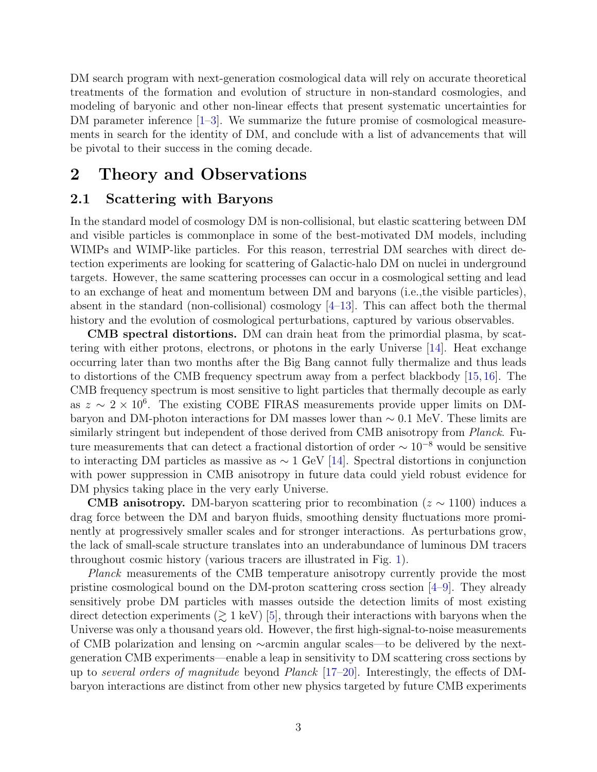DM search program with next-generation cosmological data will rely on accurate theoretical treatments of the formation and evolution of structure in non-standard cosmologies, and modeling of baryonic and other non-linear effects that present systematic uncertainties for DM parameter inference  $[1-3]$  $[1-3]$ . We summarize the future promise of cosmological measurements in search for the identity of DM, and conclude with a list of advancements that will be pivotal to their success in the coming decade.

## 2 Theory and Observations

### 2.1 Scattering with Baryons

In the standard model of cosmology DM is non-collisional, but elastic scattering between DM and visible particles is commonplace in some of the best-motivated DM models, including WIMPs and WIMP-like particles. For this reason, terrestrial DM searches with direct detection experiments are looking for scattering of Galactic-halo DM on nuclei in underground targets. However, the same scattering processes can occur in a cosmological setting and lead to an exchange of heat and momentum between DM and baryons (i.e.,the visible particles), absent in the standard (non-collisional) cosmology  $[4-13]$  $[4-13]$ . This can affect both the thermal history and the evolution of cosmological perturbations, captured by various observables.

CMB spectral distortions. DM can drain heat from the primordial plasma, by scattering with either protons, electrons, or photons in the early Universe [\[14\]](#page-6-4). Heat exchange occurring later than two months after the Big Bang cannot fully thermalize and thus leads to distortions of the CMB frequency spectrum away from a perfect blackbody [\[15,](#page-7-0) [16\]](#page-7-1). The CMB frequency spectrum is most sensitive to light particles that thermally decouple as early as  $z \sim 2 \times 10^6$ . The existing COBE FIRAS measurements provide upper limits on DMbaryon and DM-photon interactions for DM masses lower than  $\sim 0.1$  MeV. These limits are similarly stringent but independent of those derived from CMB anisotropy from *Planck*. Future measurements that can detect a fractional distortion of order  $\sim 10^{-8}$  would be sensitive to interacting DM particles as massive as  $\sim 1$  GeV [\[14\]](#page-6-4). Spectral distortions in conjunction with power suppression in CMB anisotropy in future data could yield robust evidence for DM physics taking place in the very early Universe.

**CMB anisotropy.** DM-baryon scattering prior to recombination ( $z \sim 1100$ ) induces a drag force between the DM and baryon fluids, smoothing density fluctuations more prominently at progressively smaller scales and for stronger interactions. As perturbations grow, the lack of small-scale structure translates into an underabundance of luminous DM tracers throughout cosmic history (various tracers are illustrated in Fig. [1\)](#page-1-1).

Planck measurements of the CMB temperature anisotropy currently provide the most pristine cosmological bound on the DM-proton scattering cross section  $[4-9]$  $[4-9]$ . They already sensitively probe DM particles with masses outside the detection limits of most existing direct detection experiments  $($  $\geq 1$  keV $)$  [\[5\]](#page-6-6), through their interactions with baryons when the Universe was only a thousand years old. However, the first high-signal-to-noise measurements of CMB polarization and lensing on ∼arcmin angular scales—to be delivered by the nextgeneration CMB experiments—enable a leap in sensitivity to DM scattering cross sections by up to several orders of magnitude beyond Planck  $[17–20]$  $[17–20]$ . Interestingly, the effects of DMbaryon interactions are distinct from other new physics targeted by future CMB experiments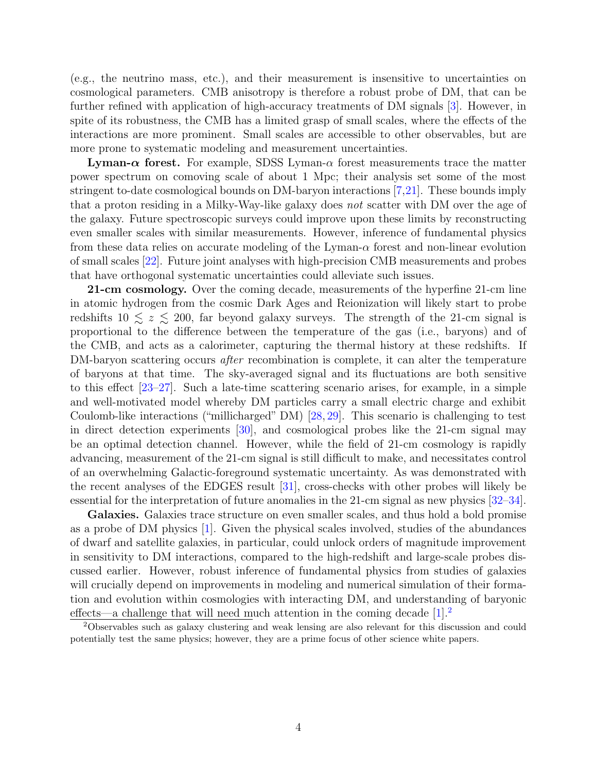(e.g., the neutrino mass, etc.), and their measurement is insensitive to uncertainties on cosmological parameters. CMB anisotropy is therefore a robust probe of DM, that can be further refined with application of high-accuracy treatments of DM signals [\[3\]](#page-6-1). However, in spite of its robustness, the CMB has a limited grasp of small scales, where the effects of the interactions are more prominent. Small scales are accessible to other observables, but are more prone to systematic modeling and measurement uncertainties.

**Lyman-** $\alpha$  **forest.** For example, SDSS Lyman- $\alpha$  forest measurements trace the matter power spectrum on comoving scale of about 1 Mpc; their analysis set some of the most stringent to-date cosmological bounds on DM-baryon interactions [\[7,](#page-6-7)[21\]](#page-7-4). These bounds imply that a proton residing in a Milky-Way-like galaxy does not scatter with DM over the age of the galaxy. Future spectroscopic surveys could improve upon these limits by reconstructing even smaller scales with similar measurements. However, inference of fundamental physics from these data relies on accurate modeling of the Lyman- $\alpha$  forest and non-linear evolution of small scales [\[22\]](#page-7-5). Future joint analyses with high-precision CMB measurements and probes that have orthogonal systematic uncertainties could alleviate such issues.

21-cm cosmology. Over the coming decade, measurements of the hyperfine 21-cm line in atomic hydrogen from the cosmic Dark Ages and Reionization will likely start to probe redshifts  $10 \le z \le 200$ , far beyond galaxy surveys. The strength of the 21-cm signal is proportional to the difference between the temperature of the gas (i.e., baryons) and of the CMB, and acts as a calorimeter, capturing the thermal history at these redshifts. If DM-baryon scattering occurs *after* recombination is complete, it can alter the temperature of baryons at that time. The sky-averaged signal and its fluctuations are both sensitive to this effect [\[23–](#page-7-6)[27\]](#page-7-7). Such a late-time scattering scenario arises, for example, in a simple and well-motivated model whereby DM particles carry a small electric charge and exhibit Coulomb-like interactions ("millicharged" DM) [\[28,](#page-7-8) [29\]](#page-7-9). This scenario is challenging to test in direct detection experiments [\[30\]](#page-8-0), and cosmological probes like the 21-cm signal may be an optimal detection channel. However, while the field of 21-cm cosmology is rapidly advancing, measurement of the 21-cm signal is still difficult to make, and necessitates control of an overwhelming Galactic-foreground systematic uncertainty. As was demonstrated with the recent analyses of the EDGES result [\[31\]](#page-8-1), cross-checks with other probes will likely be essential for the interpretation of future anomalies in the 21-cm signal as new physics [\[32–](#page-8-2)[34\]](#page-8-3).

Galaxies. Galaxies trace structure on even smaller scales, and thus hold a bold promise as a probe of DM physics [\[1\]](#page-6-0). Given the physical scales involved, studies of the abundances of dwarf and satellite galaxies, in particular, could unlock orders of magnitude improvement in sensitivity to DM interactions, compared to the high-redshift and large-scale probes discussed earlier. However, robust inference of fundamental physics from studies of galaxies will crucially depend on improvements in modeling and numerical simulation of their formation and evolution within cosmologies with interacting DM, and understanding of baryonic effects—a challenge that will need much attention in the coming decade  $[1]^2$  $[1]^2$  $[1]^2$ .

<span id="page-3-0"></span><sup>2</sup>Observables such as galaxy clustering and weak lensing are also relevant for this discussion and could potentially test the same physics; however, they are a prime focus of other science white papers.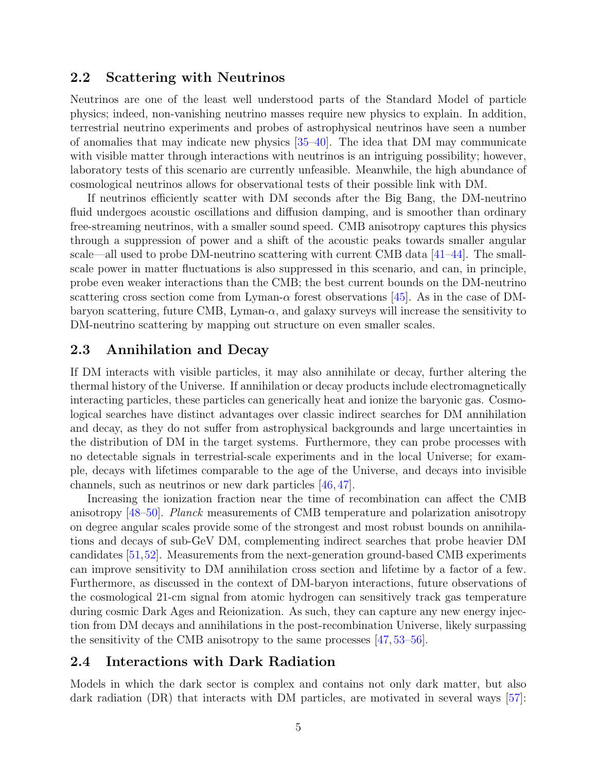#### 2.2 Scattering with Neutrinos

Neutrinos are one of the least well understood parts of the Standard Model of particle physics; indeed, non-vanishing neutrino masses require new physics to explain. In addition, terrestrial neutrino experiments and probes of astrophysical neutrinos have seen a number of anomalies that may indicate new physics [\[35–](#page-8-4)[40\]](#page-8-5). The idea that DM may communicate with visible matter through interactions with neutrinos is an intriguing possibility; however, laboratory tests of this scenario are currently unfeasible. Meanwhile, the high abundance of cosmological neutrinos allows for observational tests of their possible link with DM.

If neutrinos efficiently scatter with DM seconds after the Big Bang, the DM-neutrino fluid undergoes acoustic oscillations and diffusion damping, and is smoother than ordinary free-streaming neutrinos, with a smaller sound speed. CMB anisotropy captures this physics through a suppression of power and a shift of the acoustic peaks towards smaller angular scale—all used to probe DM-neutrino scattering with current CMB data [\[41–](#page-8-6)[44\]](#page-8-7). The smallscale power in matter fluctuations is also suppressed in this scenario, and can, in principle, probe even weaker interactions than the CMB; the best current bounds on the DM-neutrino scattering cross section come from Lyman- $\alpha$  forest observations [\[45\]](#page-9-0). As in the case of DMbaryon scattering, future CMB, Lyman- $\alpha$ , and galaxy surveys will increase the sensitivity to DM-neutrino scattering by mapping out structure on even smaller scales.

## 2.3 Annihilation and Decay

If DM interacts with visible particles, it may also annihilate or decay, further altering the thermal history of the Universe. If annihilation or decay products include electromagnetically interacting particles, these particles can generically heat and ionize the baryonic gas. Cosmological searches have distinct advantages over classic indirect searches for DM annihilation and decay, as they do not suffer from astrophysical backgrounds and large uncertainties in the distribution of DM in the target systems. Furthermore, they can probe processes with no detectable signals in terrestrial-scale experiments and in the local Universe; for example, decays with lifetimes comparable to the age of the Universe, and decays into invisible channels, such as neutrinos or new dark particles [\[46,](#page-9-1) [47\]](#page-9-2).

Increasing the ionization fraction near the time of recombination can affect the CMB anisotropy [\[48–](#page-9-3)[50\]](#page-9-4). Planck measurements of CMB temperature and polarization anisotropy on degree angular scales provide some of the strongest and most robust bounds on annihilations and decays of sub-GeV DM, complementing indirect searches that probe heavier DM candidates [\[51,](#page-9-5)[52\]](#page-9-6). Measurements from the next-generation ground-based CMB experiments can improve sensitivity to DM annihilation cross section and lifetime by a factor of a few. Furthermore, as discussed in the context of DM-baryon interactions, future observations of the cosmological 21-cm signal from atomic hydrogen can sensitively track gas temperature during cosmic Dark Ages and Reionization. As such, they can capture any new energy injection from DM decays and annihilations in the post-recombination Universe, likely surpassing the sensitivity of the CMB anisotropy to the same processes [\[47,](#page-9-2) [53](#page-9-7)[–56\]](#page-9-8).

## 2.4 Interactions with Dark Radiation

Models in which the dark sector is complex and contains not only dark matter, but also dark radiation (DR) that interacts with DM particles, are motivated in several ways [\[57\]](#page-9-9):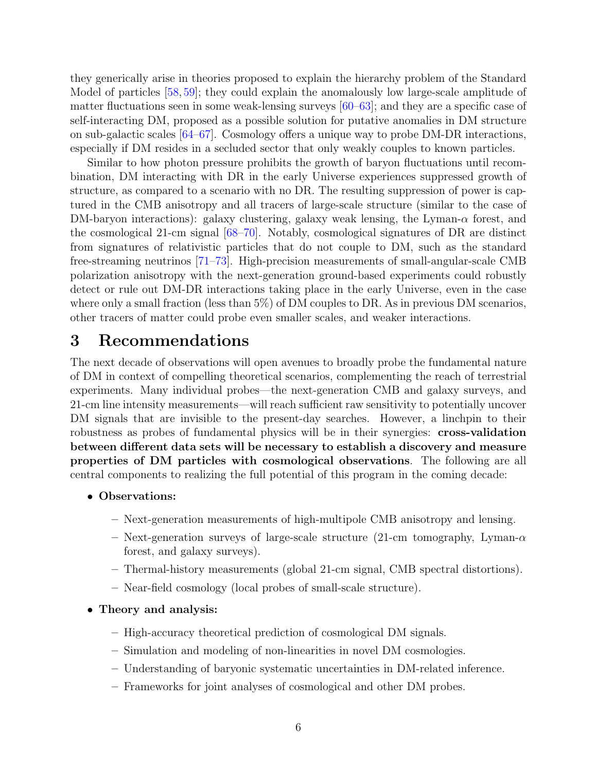they generically arise in theories proposed to explain the hierarchy problem of the Standard Model of particles [\[58,](#page-9-10) [59\]](#page-9-11); they could explain the anomalously low large-scale amplitude of matter fluctuations seen in some weak-lensing surveys [\[60–](#page-9-12)[63\]](#page-10-0); and they are a specific case of self-interacting DM, proposed as a possible solution for putative anomalies in DM structure on sub-galactic scales [\[64–](#page-10-1)[67\]](#page-10-2). Cosmology offers a unique way to probe DM-DR interactions, especially if DM resides in a secluded sector that only weakly couples to known particles.

Similar to how photon pressure prohibits the growth of baryon fluctuations until recombination, DM interacting with DR in the early Universe experiences suppressed growth of structure, as compared to a scenario with no DR. The resulting suppression of power is captured in the CMB anisotropy and all tracers of large-scale structure (similar to the case of DM-baryon interactions): galaxy clustering, galaxy weak lensing, the Lyman- $\alpha$  forest, and the cosmological 21-cm signal [\[68–](#page-10-3)[70\]](#page-10-4). Notably, cosmological signatures of DR are distinct from signatures of relativistic particles that do not couple to DM, such as the standard free-streaming neutrinos [\[71–](#page-10-5)[73\]](#page-10-6). High-precision measurements of small-angular-scale CMB polarization anisotropy with the next-generation ground-based experiments could robustly detect or rule out DM-DR interactions taking place in the early Universe, even in the case where only a small fraction (less than 5%) of DM couples to DR. As in previous DM scenarios, other tracers of matter could probe even smaller scales, and weaker interactions.

# 3 Recommendations

The next decade of observations will open avenues to broadly probe the fundamental nature of DM in context of compelling theoretical scenarios, complementing the reach of terrestrial experiments. Many individual probes—the next-generation CMB and galaxy surveys, and 21-cm line intensity measurements—will reach sufficient raw sensitivity to potentially uncover DM signals that are invisible to the present-day searches. However, a linchpin to their robustness as probes of fundamental physics will be in their synergies: cross-validation between different data sets will be necessary to establish a discovery and measure properties of DM particles with cosmological observations. The following are all central components to realizing the full potential of this program in the coming decade:

- Observations:
	- Next-generation measurements of high-multipole CMB anisotropy and lensing.
	- Next-generation surveys of large-scale structure (21-cm tomography, Lyman- $\alpha$ ) forest, and galaxy surveys).
	- Thermal-history measurements (global 21-cm signal, CMB spectral distortions).
	- Near-field cosmology (local probes of small-scale structure).
- Theory and analysis:
	- High-accuracy theoretical prediction of cosmological DM signals.
	- Simulation and modeling of non-linearities in novel DM cosmologies.
	- Understanding of baryonic systematic uncertainties in DM-related inference.
	- Frameworks for joint analyses of cosmological and other DM probes.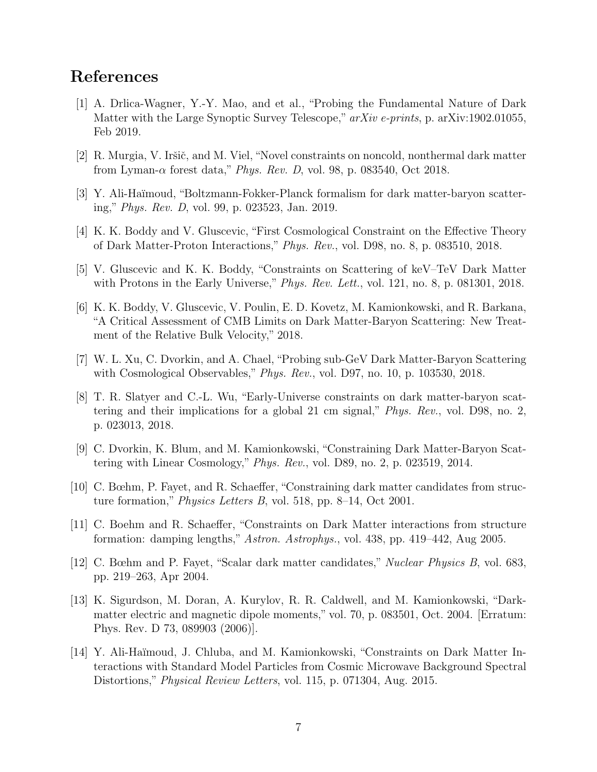## References

- <span id="page-6-0"></span>[1] A. Drlica-Wagner, Y.-Y. Mao, and et al., "Probing the Fundamental Nature of Dark Matter with the Large Synoptic Survey Telescope," arXiv e-prints, p. arXiv:1902.01055, Feb 2019.
- [2] R. Murgia, V. Iršič, and M. Viel, "Novel constraints on noncold, nonthermal dark matter from Lyman- $\alpha$  forest data," *Phys. Rev. D*, vol. 98, p. 083540, Oct 2018.
- <span id="page-6-1"></span>[3] Y. Ali-Ha¨ımoud, "Boltzmann-Fokker-Planck formalism for dark matter-baryon scattering," Phys. Rev. D, vol. 99, p. 023523, Jan. 2019.
- <span id="page-6-2"></span>[4] K. K. Boddy and V. Gluscevic, "First Cosmological Constraint on the Effective Theory of Dark Matter-Proton Interactions," Phys. Rev., vol. D98, no. 8, p. 083510, 2018.
- <span id="page-6-6"></span>[5] V. Gluscevic and K. K. Boddy, "Constraints on Scattering of keV–TeV Dark Matter with Protons in the Early Universe," Phys. Rev. Lett., vol. 121, no. 8, p. 081301, 2018.
- [6] K. K. Boddy, V. Gluscevic, V. Poulin, E. D. Kovetz, M. Kamionkowski, and R. Barkana, "A Critical Assessment of CMB Limits on Dark Matter-Baryon Scattering: New Treatment of the Relative Bulk Velocity," 2018.
- <span id="page-6-7"></span>[7] W. L. Xu, C. Dvorkin, and A. Chael, "Probing sub-GeV Dark Matter-Baryon Scattering with Cosmological Observables," *Phys. Rev.*, vol. D97, no. 10, p. 103530, 2018.
- [8] T. R. Slatyer and C.-L. Wu, "Early-Universe constraints on dark matter-baryon scattering and their implications for a global 21 cm signal," Phys. Rev., vol. D98, no. 2, p. 023013, 2018.
- <span id="page-6-5"></span>[9] C. Dvorkin, K. Blum, and M. Kamionkowski, "Constraining Dark Matter-Baryon Scattering with Linear Cosmology," Phys. Rev., vol. D89, no. 2, p. 023519, 2014.
- [10] C. Bœhm, P. Fayet, and R. Schaeffer, "Constraining dark matter candidates from structure formation," Physics Letters B, vol. 518, pp. 8–14, Oct 2001.
- [11] C. Boehm and R. Schaeffer, "Constraints on Dark Matter interactions from structure formation: damping lengths," Astron. Astrophys., vol. 438, pp. 419–442, Aug 2005.
- [12] C. Bœhm and P. Fayet, "Scalar dark matter candidates," Nuclear Physics B, vol. 683, pp. 219–263, Apr 2004.
- <span id="page-6-3"></span>[13] K. Sigurdson, M. Doran, A. Kurylov, R. R. Caldwell, and M. Kamionkowski, "Darkmatter electric and magnetic dipole moments," vol. 70, p. 083501, Oct. 2004. [Erratum: Phys. Rev. D 73, 089903 (2006)].
- <span id="page-6-4"></span>[14] Y. Ali-Ha¨ımoud, J. Chluba, and M. Kamionkowski, "Constraints on Dark Matter Interactions with Standard Model Particles from Cosmic Microwave Background Spectral Distortions," Physical Review Letters, vol. 115, p. 071304, Aug. 2015.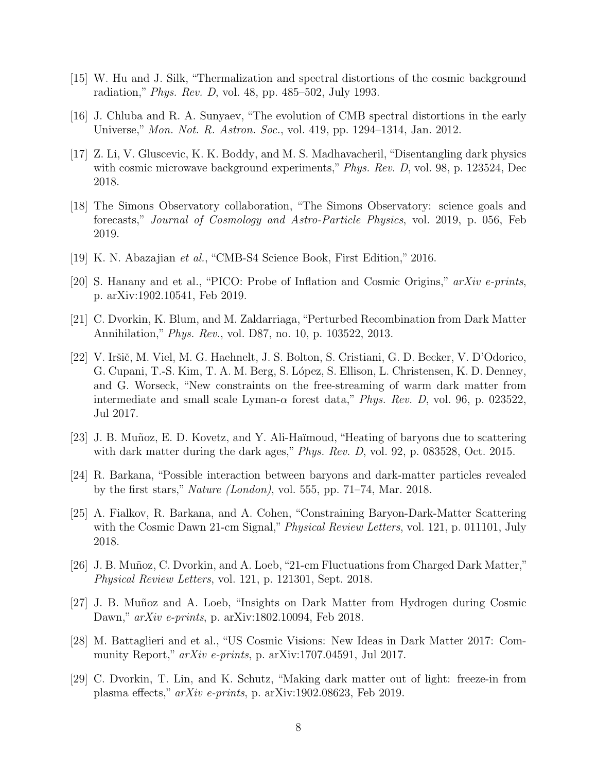- <span id="page-7-0"></span>[15] W. Hu and J. Silk, "Thermalization and spectral distortions of the cosmic background radiation," Phys. Rev. D, vol. 48, pp. 485–502, July 1993.
- <span id="page-7-1"></span>[16] J. Chluba and R. A. Sunyaev, "The evolution of CMB spectral distortions in the early Universe," Mon. Not. R. Astron. Soc., vol. 419, pp. 1294–1314, Jan. 2012.
- <span id="page-7-2"></span>[17] Z. Li, V. Gluscevic, K. K. Boddy, and M. S. Madhavacheril, "Disentangling dark physics with cosmic microwave background experiments," Phys. Rev. D, vol. 98, p. 123524, Dec 2018.
- [18] The Simons Observatory collaboration, "The Simons Observatory: science goals and forecasts," Journal of Cosmology and Astro-Particle Physics, vol. 2019, p. 056, Feb 2019.
- [19] K. N. Abazajian et al., "CMB-S4 Science Book, First Edition," 2016.
- <span id="page-7-3"></span>[20] S. Hanany and et al., "PICO: Probe of Inflation and Cosmic Origins," arXiv e-prints, p. arXiv:1902.10541, Feb 2019.
- <span id="page-7-4"></span>[21] C. Dvorkin, K. Blum, and M. Zaldarriaga, "Perturbed Recombination from Dark Matter Annihilation," Phys. Rev., vol. D87, no. 10, p. 103522, 2013.
- <span id="page-7-5"></span>[22] V. Iršič, M. Viel, M. G. Haehnelt, J. S. Bolton, S. Cristiani, G. D. Becker, V. D'Odorico, G. Cupani, T.-S. Kim, T. A. M. Berg, S. López, S. Ellison, L. Christensen, K. D. Denney, and G. Worseck, "New constraints on the free-streaming of warm dark matter from intermediate and small scale Lyman- $\alpha$  forest data," *Phys. Rev. D*, vol. 96, p. 023522, Jul 2017.
- <span id="page-7-6"></span>[23] J. B. Muñoz, E. D. Kovetz, and Y. Ali-Haïmoud, "Heating of baryons due to scattering with dark matter during the dark ages," *Phys. Rev. D*, vol. 92, p. 083528, Oct. 2015.
- [24] R. Barkana, "Possible interaction between baryons and dark-matter particles revealed by the first stars," *Nature (London)*, vol. 555, pp. 71–74, Mar. 2018.
- [25] A. Fialkov, R. Barkana, and A. Cohen, "Constraining Baryon-Dark-Matter Scattering with the Cosmic Dawn 21-cm Signal," *Physical Review Letters*, vol. 121, p. 011101, July 2018.
- [26] J. B. Muñoz, C. Dvorkin, and A. Loeb, "21-cm Fluctuations from Charged Dark Matter," Physical Review Letters, vol. 121, p. 121301, Sept. 2018.
- <span id="page-7-7"></span>[27] J. B. Mu˜noz and A. Loeb, "Insights on Dark Matter from Hydrogen during Cosmic Dawn," arXiv e-prints, p. arXiv:1802.10094, Feb 2018.
- <span id="page-7-8"></span>[28] M. Battaglieri and et al., "US Cosmic Visions: New Ideas in Dark Matter 2017: Community Report,"  $arXiv$  e-prints, p.  $arXiv:1707.04591$ , Jul 2017.
- <span id="page-7-9"></span>[29] C. Dvorkin, T. Lin, and K. Schutz, "Making dark matter out of light: freeze-in from plasma effects," arXiv e-prints, p. arXiv:1902.08623, Feb 2019.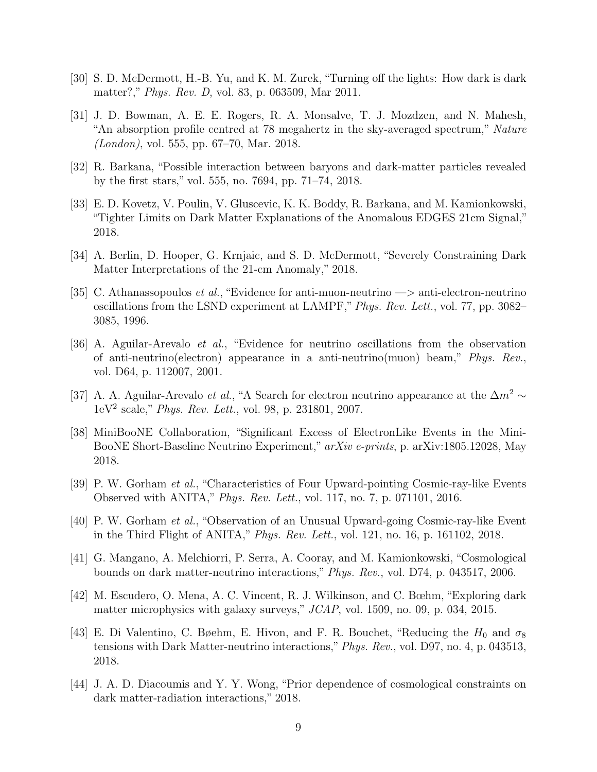- <span id="page-8-0"></span>[30] S. D. McDermott, H.-B. Yu, and K. M. Zurek, "Turning off the lights: How dark is dark matter?," Phys. Rev. D, vol. 83, p. 063509, Mar 2011.
- <span id="page-8-1"></span>[31] J. D. Bowman, A. E. E. Rogers, R. A. Monsalve, T. J. Mozdzen, and N. Mahesh, An absorption profile centred at 78 megahertz in the sky-averaged spectrum," Nature (London), vol. 555, pp. 67–70, Mar. 2018.
- <span id="page-8-2"></span>[32] R. Barkana, "Possible interaction between baryons and dark-matter particles revealed by the first stars," vol. 555, no. 7694, pp. 71–74, 2018.
- [33] E. D. Kovetz, V. Poulin, V. Gluscevic, K. K. Boddy, R. Barkana, and M. Kamionkowski, "Tighter Limits on Dark Matter Explanations of the Anomalous EDGES 21cm Signal," 2018.
- <span id="page-8-3"></span>[34] A. Berlin, D. Hooper, G. Krnjaic, and S. D. McDermott, "Severely Constraining Dark Matter Interpretations of the 21-cm Anomaly," 2018.
- <span id="page-8-4"></span>[35] C. Athanassopoulos *et al.*, "Evidence for anti-muon-neutrino  $\rightarrow$  anti-electron-neutrino oscillations from the LSND experiment at LAMPF,"Phys. Rev. Lett., vol. 77, pp. 3082– 3085, 1996.
- [36] A. Aguilar-Arevalo et al., "Evidence for neutrino oscillations from the observation of anti-neutrino(electron) appearance in a anti-neutrino(muon) beam," Phys. Rev., vol. D64, p. 112007, 2001.
- [37] A. A. Aguilar-Arevalo *et al.*, "A Search for electron neutrino appearance at the  $\Delta m^2 \sim$ 1eV<sup>2</sup> scale," Phys. Rev. Lett., vol. 98, p. 231801, 2007.
- [38] MiniBooNE Collaboration, "Significant Excess of ElectronLike Events in the Mini-BooNE Short-Baseline Neutrino Experiment," arXiv e-prints, p. arXiv:1805.12028, May 2018.
- [39] P. W. Gorham et al., "Characteristics of Four Upward-pointing Cosmic-ray-like Events Observed with ANITA," Phys. Rev. Lett., vol. 117, no. 7, p. 071101, 2016.
- <span id="page-8-5"></span>[40] P. W. Gorham et al., "Observation of an Unusual Upward-going Cosmic-ray-like Event in the Third Flight of ANITA," Phys. Rev. Lett., vol. 121, no. 16, p. 161102, 2018.
- <span id="page-8-6"></span>[41] G. Mangano, A. Melchiorri, P. Serra, A. Cooray, and M. Kamionkowski, "Cosmological bounds on dark matter-neutrino interactions," Phys. Rev., vol. D74, p. 043517, 2006.
- [42] M. Escudero, O. Mena, A. C. Vincent, R. J. Wilkinson, and C. Bœhm, "Exploring dark matter microphysics with galaxy surveys," JCAP, vol. 1509, no. 09, p. 034, 2015.
- [43] E. Di Valentino, C. Bøehm, E. Hivon, and F. R. Bouchet, "Reducing the  $H_0$  and  $\sigma_8$ tensions with Dark Matter-neutrino interactions,"Phys. Rev., vol. D97, no. 4, p. 043513, 2018.
- <span id="page-8-7"></span>[44] J. A. D. Diacoumis and Y. Y. Wong, "Prior dependence of cosmological constraints on dark matter-radiation interactions," 2018.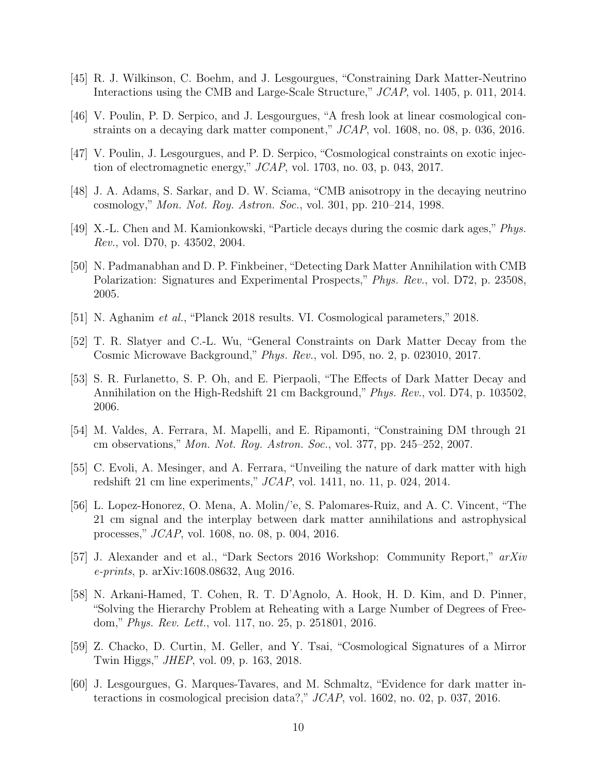- <span id="page-9-0"></span>[45] R. J. Wilkinson, C. Boehm, and J. Lesgourgues, "Constraining Dark Matter-Neutrino Interactions using the CMB and Large-Scale Structure," JCAP, vol. 1405, p. 011, 2014.
- <span id="page-9-1"></span>[46] V. Poulin, P. D. Serpico, and J. Lesgourgues, "A fresh look at linear cosmological constraints on a decaying dark matter component," JCAP, vol. 1608, no. 08, p. 036, 2016.
- <span id="page-9-2"></span>[47] V. Poulin, J. Lesgourgues, and P. D. Serpico, "Cosmological constraints on exotic injection of electromagnetic energy," JCAP, vol. 1703, no. 03, p. 043, 2017.
- <span id="page-9-3"></span>[48] J. A. Adams, S. Sarkar, and D. W. Sciama, "CMB anisotropy in the decaying neutrino cosmology," Mon. Not. Roy. Astron. Soc., vol. 301, pp. 210–214, 1998.
- [49] X.-L. Chen and M. Kamionkowski, "Particle decays during the cosmic dark ages," Phys. Rev., vol. D70, p. 43502, 2004.
- <span id="page-9-4"></span>[50] N. Padmanabhan and D. P. Finkbeiner, "Detecting Dark Matter Annihilation with CMB Polarization: Signatures and Experimental Prospects," Phys. Rev., vol. D72, p. 23508, 2005.
- <span id="page-9-5"></span>[51] N. Aghanim et al., "Planck 2018 results. VI. Cosmological parameters," 2018.
- <span id="page-9-6"></span>[52] T. R. Slatyer and C.-L. Wu, "General Constraints on Dark Matter Decay from the Cosmic Microwave Background," Phys. Rev., vol. D95, no. 2, p. 023010, 2017.
- <span id="page-9-7"></span>[53] S. R. Furlanetto, S. P. Oh, and E. Pierpaoli, "The Effects of Dark Matter Decay and Annihilation on the High-Redshift 21 cm Background," Phys. Rev., vol. D74, p. 103502, 2006.
- [54] M. Valdes, A. Ferrara, M. Mapelli, and E. Ripamonti, "Constraining DM through 21 cm observations," Mon. Not. Roy. Astron. Soc., vol. 377, pp. 245–252, 2007.
- [55] C. Evoli, A. Mesinger, and A. Ferrara, "Unveiling the nature of dark matter with high redshift 21 cm line experiments," JCAP, vol. 1411, no. 11, p. 024, 2014.
- <span id="page-9-8"></span>[56] L. Lopez-Honorez, O. Mena, A. Molin/'e, S. Palomares-Ruiz, and A. C. Vincent, "The 21 cm signal and the interplay between dark matter annihilations and astrophysical processes," JCAP, vol. 1608, no. 08, p. 004, 2016.
- <span id="page-9-9"></span>[57] J. Alexander and et al., "Dark Sectors 2016 Workshop: Community Report," arXiv e-prints, p. arXiv:1608.08632, Aug 2016.
- <span id="page-9-10"></span>[58] N. Arkani-Hamed, T. Cohen, R. T. D'Agnolo, A. Hook, H. D. Kim, and D. Pinner, "Solving the Hierarchy Problem at Reheating with a Large Number of Degrees of Freedom," Phys. Rev. Lett., vol. 117, no. 25, p. 251801, 2016.
- <span id="page-9-11"></span>[59] Z. Chacko, D. Curtin, M. Geller, and Y. Tsai, "Cosmological Signatures of a Mirror Twin Higgs," JHEP, vol. 09, p. 163, 2018.
- <span id="page-9-12"></span>[60] J. Lesgourgues, G. Marques-Tavares, and M. Schmaltz, "Evidence for dark matter interactions in cosmological precision data?," JCAP, vol. 1602, no. 02, p. 037, 2016.